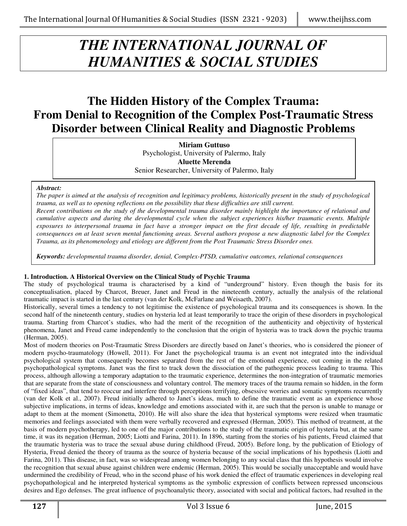# *THE INTERNATIONAL JOURNAL OF HUMANITIES & SOCIAL STUDIES*

## **The Hidden History of the Complex Trauma: From Denial to Recognition of the Complex Post-Traumatic Stress Disorder between Clinical Reality and Diagnostic Problems**

**Miriam Guttuso**  Psychologist, University of Palermo, Italy **Aluette Merenda**  Senior Researcher, University of Palermo, Italy

#### *Abstract:*

*The paper is aimed at the analysis of recognition and legitimacy problems, historically present in the study of psychological trauma, as well as to opening reflections on the possibility that these difficulties are still current.* 

*Recent contributions on the study of the developmental trauma disorder mainly highlight the importance of relational and cumulative aspects and during the developmental cycle when the subject experiences his/her traumatic events. Multiple exposures to interpersonal trauma in fact have a stronger impact on the first decade of life, resulting in predictable consequences on at least seven mental functioning areas. Several authors propose a new diagnostic label for the Complex Trauma, as its phenomenology and etiology are different from the Post Traumatic Stress Disorder ones.*

*Keywords: developmental trauma disorder, denial, Complex-PTSD, cumulative outcomes, relational consequences* 

#### **1. Introduction. A Historical Overview on the Clinical Study of Psychic Trauma**

The study of psychological trauma is characterised by a kind of "underground" history. Even though the basis for its conceptualisation, placed by Charcot, Breuer, Janet and Freud in the nineteenth century, actually the analysis of the relational traumatic impact is started in the last century (van der Kolk, McFarlane and Weisaeth, 2007).

Historically, several times a tendency to not legitimise the existence of psychological trauma and its consequences is shown. In the second half of the nineteenth century, studies on hysteria led at least temporarily to trace the origin of these disorders in psychological trauma. Starting from Charcot's studies, who had the merit of the recognition of the authenticity and objectivity of hysterical phenomena, Janet and Freud came independently to the conclusion that the origin of hysteria was to track down the psychic trauma (Herman, 2005).

Most of modern theories on Post-Traumatic Stress Disorders are directly based on Janet's theories, who is considered the pioneer of modern psycho-traumatology (Howell, 2011). For Janet the psychological trauma is an event not integrated into the individual psychological system that consequently becomes separated from the rest of the emotional experience, out coming in the related psychopathological symptoms. Janet was the first to track down the dissociation of the pathogenic process leading to trauma. This process, although allowing a temporary adaptation to the traumatic experience, determines the non-integration of traumatic memories that are separate from the state of consciousness and voluntary control. The memory traces of the trauma remain so hidden, in the form of "fixed ideas", that tend to reoccur and interfere through perceptions terrifying, obsessive worries and somatic symptoms recurrently (van der Kolk et al., 2007). Freud initially adhered to Janet's ideas, much to define the traumatic event as an experience whose subjective implications, in terms of ideas, knowledge and emotions associated with it, are such that the person is unable to manage or adapt to them at the moment (Simonetta, 2010). He will also share the idea that hysterical symptoms were resized when traumatic memories and feelings associated with them were verbally recovered and expressed (Herman, 2005). This method of treatment, at the basis of modern psychotherapy, led to one of the major contributions to the study of the traumatic origin of hysteria but, at the same time, it was its negation (Herman, 2005; Liotti and Farina, 2011). In 1896, starting from the stories of his patients, Freud claimed that the traumatic hysteria was to trace the sexual abuse during childhood (Freud, 2005). Before long, by the publication of Etiology of Hysteria, Freud denied the theory of trauma as the source of hysteria because of the social implications of his hypothesis (Liotti and Farina, 2011). This disease, in fact, was so widespread among women belonging to any social class that this hypothesis would involve the recognition that sexual abuse against children were endemic (Herman, 2005). This would be socially unacceptable and would have undermined the credibility of Freud, who in the second phase of his work denied the effect of traumatic experiences in developing real psychopathological and he interpreted hysterical symptoms as the symbolic expression of conflicts between repressed unconscious desires and Ego defenses. The great influence of psychoanalytic theory, associated with social and political factors, had resulted in the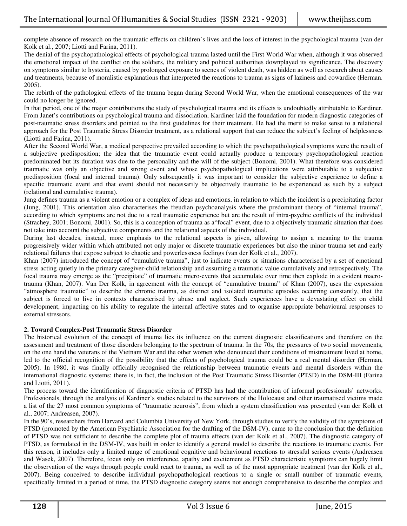complete absence of research on the traumatic effects on children's lives and the loss of interest in the psychological trauma (van der Kolk et al., 2007; Liotti and Farina, 2011).

The denial of the psychopathological effects of psychological trauma lasted until the First World War when, although it was observed the emotional impact of the conflict on the soldiers, the military and political authorities downplayed its significance. The discovery on symptoms similar to hysteria, caused by prolonged exposure to scenes of violent death, was hidden as well as research about causes and treatments, because of moralistic explanations that interpreted the reactions to trauma as signs of laziness and cowardice (Herman. 2005).

The rebirth of the pathological effects of the trauma began during Second World War, when the emotional consequences of the war could no longer be ignored.

In that period, one of the major contributions the study of psychological trauma and its effects is undoubtedly attributable to Kardiner. From Janet's contributions on psychological trauma and dissociation, Kardiner laid the foundation for modern diagnostic categories of post-traumatic stress disorders and pointed to the first guidelines for their treatment. He had the merit to make sense to a relational approach for the Post Traumatic Stress Disorder treatment, as a relational support that can reduce the subject's feeling of helplessness (Liotti and Farina, 2011).

After the Second World War, a medical perspective prevailed according to which the psychopathological symptoms were the result of a subjective predisposition; the idea that the traumatic event could actually produce a temporary psychopathological reaction predominated but its duration was due to the personality and the will of the subject (Bonomi, 2001). What therefore was considered traumatic was only an objective and strong event and whose psychopathological implications were attributable to a subjective predisposition (focal and internal trauma). Only subsequently it was important to consider the subjective experience to define a specific traumatic event and that event should not necessarily be objectively traumatic to be experienced as such by a subject (relational and cumulative trauma).

Jung defines trauma as a violent emotion or a complex of ideas and emotions, in relation to which the incident is a precipitating factor (Jung, 2001). This orientation also characterises the freudian psychoanalysis where the predominant theory of "internal trauma", according to which symptoms are not due to a real traumatic experience but are the result of intra-psychic conflicts of the individual (Strachey, 2001; Bonomi, 2001). So, this is a conception of trauma as a"focal" event, due to a objectively traumatic situation that does not take into account the subjective components and the relational aspects of the individual.

During last decades, instead, more emphasis to the relational aspects is given, allowing to assign a meaning to the trauma progressively wider within which attributed not only major or discrete traumatic experiences but also the minor trauma set and early relational failures that expose subject to chaotic and powerlessness feelings (van der Kolk et al., 2007).

Khan (2007) introduced the concept of "cumulative trauma", just to indicate events or situations characterised by a set of emotional stress acting quietly in the primary caregiver-child relationship and assuming a traumatic value cumulatively and retrospectively. The focal trauma may emerge as the "precipitate" of traumatic micro-events that accumulate over time then explode in a evident macrotrauma (Khan, 2007). Van Der Kolk, in agreement with the concept of "cumulative trauma" of Khan (2007), uses the expression "atmosphere traumatic" to describe the chronic trauma, as distinct and isolated traumatic episodes occurring constantly, that the subject is forced to live in contexts characterised by abuse and neglect. Such experiences have a devastating effect on child development, impacting on his ability to regulate the internal affective states and to organise appropriate behavioural responses to external stressors.

#### **2. Toward Complex-Post Traumatic Stress Disorder**

The historical evolution of the concept of trauma lies its influence on the current diagnostic classifications and therefore on the assessment and treatment of those disorders belonging to the spectrum of trauma. In the 70s, the pressures of two social movements, on the one hand the veterans of the Vietnam War and the other women who denounced their conditions of mistreatment lived at home, led to the official recognition of the possibility that the effects of psychological trauma could be a real mental disorder (Herman, 2005). In 1980, it was finally officially recognised the relationship between traumatic events and mental disorders within the international diagnostic systems; there is, in fact, the inclusion of the Post Traumatic Stress Disorder (PTSD) in the DSM-III (Farina and Liotti, 2011).

The process toward the identification of diagnostic criteria of PTSD has had the contribution of informal professionals' networks. Professionals, through the analysis of Kardiner's studies related to the survivors of the Holocaust and other traumatised victims made a list of the 27 most common symptoms of "traumatic neurosis", from which a system classification was presented (van der Kolk et al., 2007; Andreasen, 2007).

In the 90's, researchers from Harvard and Columbia University of New York, through studies to verify the validity of the symptoms of PTSD (promoted by the American Psychiatric Association for the drafting of the DSM-IV), came to the conclusion that the definition of PTSD was not sufficient to describe the complete plot of trauma effects (van der Kolk et al., 2007). The diagnostic category of PTSD, as formulated in the DSM-IV, was built in order to identify a general model to describe the reactions to traumatic events. For this reason, it includes only a limited range of emotional cognitive and behavioural reactions to stressful serious events (Andreasen and Wasek, 2007). Therefore, focus only on interference, apathy and excitement as PTSD characteristic symptoms can hugely limit the observation of the ways through people could react to trauma, as well as of the most appropriate treatment (van der Kolk et al., 2007). Being conceived to describe individual psychopathological reactions to a single or small number of traumatic events, specifically limited in a period of time, the PTSD diagnostic category seems not enough comprehensive to describe the complex and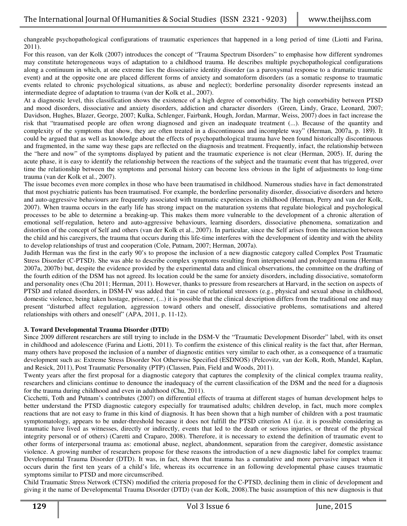changeable psychopathological configurations of traumatic experiences that happened in a long period of time (Liotti and Farina, 2011).

For this reason, van der Kolk (2007) introduces the concept of "Trauma Spectrum Disorders" to emphasise how different syndromes may constitute heterogeneous ways of adaptation to a childhood trauma. He describes multiple psychopathological configurations along a continuum in which, at one extreme lies the dissociative identity disorder (as a paroxysmal response to a dramatic traumatic event) and at the opposite one are placed different forms of anxiety and somatoform disorders (as a somatic response to traumatic events related to chronic psychological situations, as abuse and neglect); borderline personality disorder represents instead an intermediate degree of adaptation to trauma (van der Kolk et al., 2007).

At a diagnostic level, this classification shows the existence of a high degree of comorbidity. The high comorbidity between PTSD and mood disorders, dissociative and anxiety disorders, addiction and character disorders (Green, Lindy, Grace, Leonard, 2007; Davidson, Hughes, Blazer, George, 2007; Kulka, Schlenger, Fairbank, Hough, Jordan, Marmar, Weiss, 2007) does in fact increase the risk that "traumatised people are often wrong diagnosed and given an inadequate treatment (...). Because of the quantity and complexity of the symptoms that show, they are often treated in a discontinuous and incomplete way" (Herman, 2007a, p. 189). It could be argued that as well as knowledge about the effects of psychopathological trauma have been found historically discontinuous and fragmented, in the same way these gaps are reflected on the diagnosis and treatment. Frequently, infact, the relationship between the "here and now" of the symptoms displayed by patient and the traumatic experience is not clear (Herman, 2005). If, during the acute phase, it is easy to identify the relationship between the reactions of the subject and the traumatic event that has triggered, over time the relationship between the symptoms and personal history can become less obvious in the light of adjustments to long-time trauma (van der Kolk et al., 2007).

The issue becomes even more complex in those who have been traumatised in childhood. Numerous studies have in fact demonstrated that most psychiatric patients has been traumatised. For example, the borderline personality disorder, dissociative disorders and hetero and auto-aggressive behaviours are frequently associated with traumatic experiences in childhood (Herman, Perry and van der Kolk, 2007). When trauma occurs in the early life has strong impact on the maturation systems that regulate biological and psychological processes to be able to determine a breaking-up. This makes them more vulnerable to the development of a chronic alteration of emotional self-regulation, hetero and auto-aggressive behaviours, learning disorders, dissociative phenomena, somatization and distortion of the concept of Self and others (van der Kolk et al., 2007). In particular, since the Self arises from the interaction between the child and his caregivers, the trauma that occurs during this life-time interferes with the development of identity and with the ability to develop relationships of trust and cooperation (Cole, Putnam, 2007; Herman, 2007a).

Judith Herman was the first in the early 90's to propose the inclusion of a new diagnostic category called Complex Post Traumatic Stress Disorder (C-PTSD). She was able to describe complex symptoms resulting from interpersonal and prolonged trauma (Herman 2007a, 2007b) but, despite the evidence provided by the experimental data and clinical observations, the committee on the drafting of the fourth edition of the DSM has not agreed. Its location could be the same for anxiety disorders, including dissociative, somatoform and personality ones (Chu 2011; Herman, 2011). However, thanks to pressure from researchers at Harvard, in the section on aspects of PTSD and related disorders, in DSM-IV was added that "in case of relational stressors (e.g., physical and sexual abuse in childhood, domestic violence, being taken hostage, prisoner, (...) it is possible that the clinical description differs from the traditional one and may present "disturbed affect regulation, aggression toward others and oneself, dissociative problems, somatisations and altered relationships with others and oneself" (APA, 2011, p. 11-12).

#### **3. Toward Developmental Trauma Disorder (DTD)**

Since 2009 different researchers are still trying to include in the DSM-V the "Traumatic Development Disorder" label, with its onset in childhood and adolescence (Farina and Liotti, 2011). To confirm the existence of this clinical reality is the fact that, after Herman, many others have proposed the inclusion of a number of diagnostic entities very similar to each other, as a consequence of a traumatic development such as: Extreme Stress Disorder Not Otherwise Specified (ESDNOS) (Pelcovitz, van der Kolk, Roth, Mandel, Kaplan, and Resick, 2011), Post Traumatic Personality (PTP) (Classen, Pain, Field and Woods, 2011).

Twenty years after the first proposal for a diagnostic category that captures the complexity of the clinical complex trauma reality, researchers and clinicians continue to denounce the inadequacy of the current classification of the DSM and the need for a diagnosis for the trauma during childhood and even in adulthood (Chu, 2011).

Cicchetti, Toth and Putnam's contributes (2007) on differential effects of trauma at different stages of human development helps to better understand the PTSD diagnostic category especially for traumatised adults; children develop, in fact, much more complex reactions that are not easy to frame in this kind of diagnosis. It has been shown that a high number of children with a post traumatic symptomatology, appears to be under-threshold because it does not fulfill the PTSD criterion A1 (i.e. it is possible considering as traumatic have lived as witnesses, directly or indirectly, events that led to the death or serious injuries, or threat of the physical integrity personal or of others) (Caretti and Craparo, 2008). Therefore, it is necessary to extend the definition of traumatic event to other forms of interpersonal trauma as: emotional abuse, neglect, abandonment, separation from the caregiver, domestic assistance violence. A growing number of researchers propose for these reasons the introduction of a new diagnostic label for complex trauma: Developmental Trauma Disorder (DTD). It was, in fact, shown that trauma has a cumulative and more pervasive impact when it occurs durin the first ten years of a child's life, whereas its occurrence in an following developmental phase causes traumatic symptoms similar to PTSD and more circumscribed.

Child Traumatic Stress Network (CTSN) modified the criteria proposed for the C-PTSD, declining them in clinic of development and giving it the name of Developmental Trauma Disorder (DTD) (van der Kolk, 2008).The basic assumption of this new diagnosis is that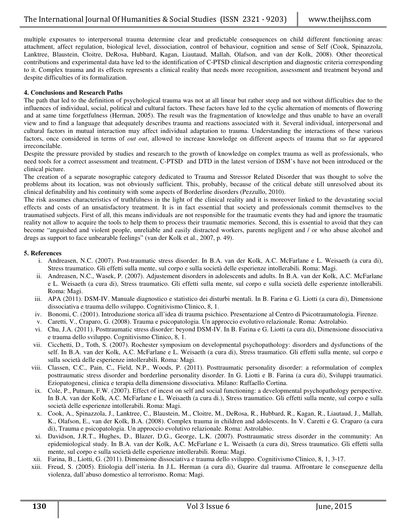multiple exposures to interpersonal trauma determine clear and predictable consequences on child different functioning areas: attachment, affect regulation, biological level, dissociation, control of behaviour, cognition and sense of Self (Cook, Spinazzola, Lanktree, Blaustein, Cloitre, DeRosa, Hubbard, Kagan, Liautaud, Mallah, Olafson, and van der Kolk, 2008). Other theoretical contributions and experimental data have led to the identification of C-PTSD clinical description and diagnostic criteria corresponding to it. Complex trauma and its effects represents a clinical reality that needs more recognition, assessment and treatment beyond and despite difficulties of its formalization.

#### **4. Conclusions and Research Paths**

The path that led to the definition of psychological trauma was not at all linear but rather steep and not without difficulties due to the influences of individual, social, political and cultural factors. These factors have led to the cyclic alternation of moments of flowering and at same time forgetfulness (Herman, 2005). The result was the fragmentation of knowledge and thus unable to have an overall view and to find a language that adequately describes trauma and reactions associated with it. Several individual, interpersonal and cultural factors in mutual interaction may affect individual adaptation to trauma. Understanding the interactions of these various factors, once considered in terms of *out out*, allowed to increase knowledge on different aspects of trauma that so far appeared irreconcilable.

Despite the pressure provided by studies and research to the growth of knowledge on complex trauma as well as professionals, who need tools for a correct assessment and treatment, C-PTSD and DTD in the latest version of DSM's have not been introduced or the clinical picture.

The creation of a separate nosographic category dedicated to Trauma and Stressor Related Disorder that was thought to solve the problems about its location, was not obviously sufficient. This, probably, because of the critical debate still unresolved about its clinical definability and his continuity with some aspects of Borderline disorders (Pezzullo, 2010).

The risk assumes characteristics of truthfulness in the light of the clinical reality and it is moreover linked to the devastating social effects and costs of an unsatisfactory treatment. It is in fact essential that society and professionals commit themselves to the traumatised subjects. First of all, this means individuals are not responsible for the traumatic events they had and ignore the traumatic reality not allow to acquire the tools to help them to process their traumatic memories. Second, this is essential to avoid that they can become "anguished and violent people, unreliable and easily distracted workers, parents negligent and / or who abuse alcohol and drugs as support to face unbearable feelings" (van der Kolk et al., 2007, p. 49).

### **5. References**

- i. Andreasen, N.C. (2007). Post-traumatic stress disorder. In B.A. van der Kolk, A.C. McFarlane e L. Weisaeth (a cura di), Stress traumatico. Gli effetti sulla mente, sul corpo e sulla società delle esperienze intollerabili. Roma: Magi.
- ii. Andreasen, N.C., Wasek, P. (2007). Adjustement disorders in adolescents and adults. In B.A. van der Kolk, A.C. McFarlane e L. Weisaeth (a cura di), Stress traumatico. Gli effetti sulla mente, sul corpo e sulla società delle esperienze intollerabili. Roma: Magi.
- iii. APA (2011). DSM-IV. Manuale diagnostico e statistico dei disturbi mentali. In B. Farina e G. Liotti (a cura di), Dimensione dissociativa e trauma dello sviluppo. Cognitivismo Clinico, 8, 1.
- iv. Bonomi, C. (2001). Introduzione storica all'idea di trauma psichico. Presentazione al Centro di Psicotraumatologia. Firenze.
- v. Caretti, V., Craparo, G. (2008). Trauma e psicopatologia. Un approccio evolutivo relazionale. Roma: Astrolabio.
- vi. Chu, J.A. (2011). Posttraumatic stress disorder: beyond DSM-IV. In B. Farina e G. Liotti (a cura di), Dimensione dissociativa e trauma dello sviluppo. Cognitivismo Clinico, 8, 1.
- vii. Cicchetti, D., Toth, S. (2007). Rochester symposium on developmental psychopathology: disorders and dysfunctions of the self. In B.A. van der Kolk, A.C. McFarlane e L. Weisaeth (a cura di), Stress traumatico. Gli effetti sulla mente, sul corpo e sulla società delle esperienze intollerabili. Roma: Magi.
- viii. Classen, C.C., Pain, C., Field, N.P., Woods, P. (2011). Posttraumatic personality disorder: a reformulation of complex posttraumatic stress disorder and borderline personality disorder. In G. Liotti e B. Farina (a cura di), Sviluppi traumatici. Eziopatogenesi, clinica e terapia della dimensione dissociativa. Milano: Raffaello Cortina.
- ix. Cole, P., Putnam, F.W. (2007). Effect of incest on self and social functioning: a developmental psychopathology perspective. In B.A. van der Kolk, A.C. McFarlane e L. Weisaeth (a cura di.), Stress traumatico. Gli effetti sulla mente, sul corpo e sulla società delle esperienze intollerabili. Roma: Magi.
- x. Cook, A., Spinazzola, J., Lanktree, C., Blaustein, M., Cloitre, M., DeRosa, R., Hubbard, R., Kagan, R., Liautaud, J., Mallah, K., Olafson, E., van der Kolk, B.A. (2008). Complex trauma in children and adolescents. In V. Caretti e G. Craparo (a cura di), Trauma e psicopatologia. Un approccio evolutivo relazionale. Roma: Astrolabio.
- xi. Davidson, J.R.T., Hughes, D., Blazer, D.G., George, L.K. (2007). Posttraumatic stress disorder in the community: An epidemiological study. In B.A. van der Kolk, A.C. McFarlane e L. Weisaeth (a cura di), Stress traumatico. Gli effetti sulla mente, sul corpo e sulla società delle esperienze intollerabili. Roma: Magi.
- xii. Farina, B., Liotti, G. (2011). Dimensione dissociativa e trauma dello sviluppo. Cognitivismo Clinico, 8, 1, 3-17.
- xiii. Freud, S. (2005). Etiologia dell'isteria. In J.L. Herman (a cura di), Guarire dal trauma. Affrontare le conseguenze della violenza, dall'abuso domestico al terrorismo. Roma: Magi.